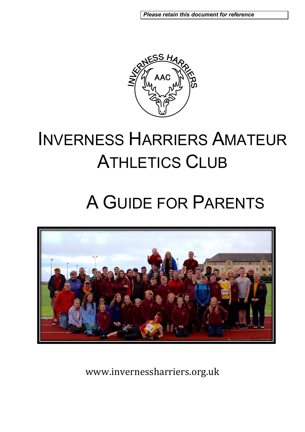*Please retain this document for reference* 



# INVERNESS HARRIERS AMATEUR ATHLETICS CLUB

# A GUIDE FOR PARENTS



www.invernessharriers.org.uk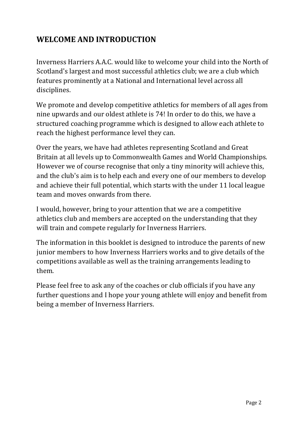# **WELCOME AND INTRODUCTION**

Inverness Harriers A.A.C. would like to welcome your child into the North of Scotland's largest and most successful athletics club; we are a club which features prominently at a National and International level across all disciplines.

We promote and develop competitive athletics for members of all ages from nine upwards and our oldest athlete is 74! In order to do this, we have a structured coaching programme which is designed to allow each athlete to reach the highest performance level they can.

Over the years, we have had athletes representing Scotland and Great Britain at all levels up to Commonwealth Games and World Championships. However we of course recognise that only a tiny minority will achieve this, and the club's aim is to help each and every one of our members to develop and achieve their full potential, which starts with the under 11 local league team and moves onwards from there.

I would, however, bring to your attention that we are a competitive athletics club and members are accepted on the understanding that they will train and compete regularly for Inverness Harriers.

The information in this booklet is designed to introduce the parents of new junior members to how Inverness Harriers works and to give details of the competitions available as well as the training arrangements leading to them.

Please feel free to ask any of the coaches or club officials if you have any further questions and I hope your young athlete will enjoy and benefit from being a member of Inverness Harriers.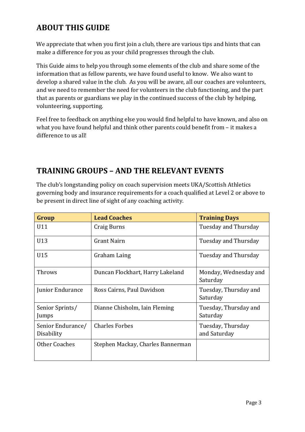# **ABOUT THIS GUIDE**

We appreciate that when you first join a club, there are various tips and hints that can make a difference for you as your child progresses through the club.

This Guide aims to help you through some elements of the club and share some of the information that as fellow parents, we have found useful to know. We also want to develop a shared value in the club. As you will be aware, all our coaches are volunteers, and we need to remember the need for volunteers in the club functioning, and the part that as parents or guardians we play in the continued success of the club by helping, volunteering, supporting.

Feel free to feedback on anything else you would find helpful to have known, and also on what you have found helpful and think other parents could benefit from – it makes a difference to us all!

# **TRAINING GROUPS – AND THE RELEVANT EVENTS**

The club's longstanding policy on coach supervision meets UKA/Scottish Athletics governing body and insurance requirements for a coach qualified at Level 2 or above to be present in direct line of sight of any coaching activity.

| Group                           | <b>Lead Coaches</b>               | <b>Training Days</b>              |
|---------------------------------|-----------------------------------|-----------------------------------|
| U11                             | Craig Burns                       | Tuesday and Thursday              |
| U13                             | Grant Nairn                       | Tuesday and Thursday              |
| U15                             | Graham Laing                      | Tuesday and Thursday              |
| Throws                          | Duncan Flockhart, Harry Lakeland  | Monday, Wednesday and<br>Saturday |
| Junior Endurance                | Ross Cairns, Paul Davidson        | Tuesday, Thursday and<br>Saturday |
| Senior Sprints/<br>Jumps        | Dianne Chisholm, Iain Fleming     | Tuesday, Thursday and<br>Saturday |
| Senior Endurance/<br>Disability | <b>Charles Forbes</b>             | Tuesday, Thursday<br>and Saturday |
| <b>Other Coaches</b>            | Stephen Mackay, Charles Bannerman |                                   |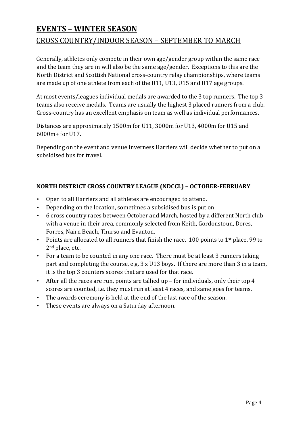# **EVENTS – WINTER SEASON**  CROSS COUNTRY/INDOOR SEASON – SEPTEMBER TO MARCH

Generally, athletes only compete in their own age/gender group within the same race and the team they are in will also be the same age/gender. Exceptions to this are the North District and Scottish National cross-country relay championships, where teams are made up of one athlete from each of the U11, U13, U15 and U17 age groups.

At most events/leagues individual medals are awarded to the 3 top runners. The top 3 teams also receive medals. Teams are usually the highest 3 placed runners from a club. Cross-country has an excellent emphasis on team as well as individual performances.

Distances are approximately 1500m for U11, 3000m for U13, 4000m for U15 and 6000m+ for U17.

Depending on the event and venue Inverness Harriers will decide whether to put on a subsidised bus for travel.

#### **NORTH DISTRICT CROSS COUNTRY LEAGUE (NDCCL) – OCTOBER‐FEBRUARY**

- Open to all Harriers and all athletes are encouraged to attend.
- Depending on the location, sometimes a subsidised bus is put on
- 6 cross country races between October and March, hosted by a different North club with a venue in their area, commonly selected from Keith, Gordonstoun, Dores, Forres, Nairn Beach, Thurso and Evanton.
- Points are allocated to all runners that finish the race. 100 points to  $1<sup>st</sup>$  place, 99 to 2nd place, etc.
- For a team to be counted in any one race. There must be at least 3 runners taking part and completing the course, e.g. 3 x U13 boys. If there are more than 3 in a team, it is the top 3 counters scores that are used for that race.
- After all the races are run, points are tallied up for individuals, only their top 4 scores are counted, i.e. they must run at least 4 races, and same goes for teams.
- The awards ceremony is held at the end of the last race of the season.
- These events are always on a Saturday afternoon.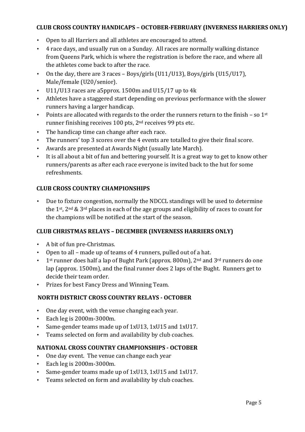#### **CLUB CROSS COUNTRY HANDICAPS – OCTOBER‐FEBRUARY (INVERNESS HARRIERS ONLY)**

- Open to all Harriers and all athletes are encouraged to attend.
- 4 race days, and usually run on a Sunday. All races are normally walking distance from Queens Park, which is where the registration is before the race, and where all the athletes come back to after the race.
- On the day, there are 3 races Boys/girls (U11/U13), Boys/girls (U15/U17), Male/female (U20/senior).
- U11/U13 races are a5pprox. 1500m and U15/17 up to 4k
- Athletes have a staggered start depending on previous performance with the slower runners having a larger handicap.
- Points are allocated with regards to the order the runners return to the finish so  $1<sup>st</sup>$ runner finishing receives 100 pts, 2nd receives 99 pts etc.
- The handicap time can change after each race.
- The runners' top 3 scores over the 4 events are totalled to give their final score.
- Awards are presented at Awards Night (usually late March).
- It is all about a bit of fun and bettering yourself. It is a great way to get to know other runners/parents as after each race everyone is invited back to the hut for some refreshments.

#### **CLUB CROSS COUNTRY CHAMPIONSHIPS**

• Due to fixture congestion, normally the NDCCL standings will be used to determine the 1st, 2nd & 3rd places in each of the age groups and eligibility of races to count for the champions will be notified at the start of the season.

#### **CLUB CHRISTMAS RELAYS – DECEMBER (INVERNESS HARRIERS ONLY)**

- A bit of fun pre-Christmas.
- Open to all made up of teams of 4 runners, pulled out of a hat.
- $\cdot$  1<sup>st</sup> runner does half a lap of Bught Park (approx. 800m), 2<sup>nd</sup> and 3<sup>rd</sup> runners do one lap (approx. 1500m), and the final runner does 2 laps of the Bught. Runners get to decide their team order.
- Prizes for best Fancy Dress and Winning Team.

#### **NORTH DISTRICT CROSS COUNTRY RELAYS ‐ OCTOBER**

- One day event, with the venue changing each year.
- Each leg is 2000m-3000m.
- Same-gender teams made up of 1xU13, 1xU15 and 1xU17.
- Teams selected on form and availability by club coaches.

#### **NATIONAL CROSS COUNTRY CHAMPIONSHIPS ‐ OCTOBER**

- One day event. The venue can change each year
- Each leg is 2000m-3000m.
- Same-gender teams made up of 1xU13, 1xU15 and 1xU17.
- Teams selected on form and availability by club coaches.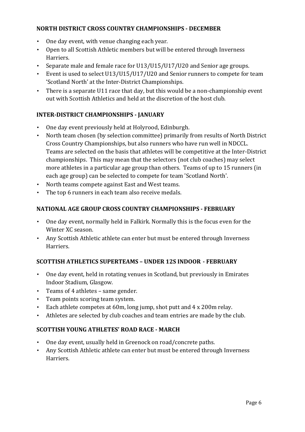#### **NORTH DISTRICT CROSS COUNTRY CHAMPIONSHIPS ‐ DECEMBER**

- One day event, with venue changing each year.
- Open to all Scottish Athletic members but will be entered through Inverness Harriers.
- Separate male and female race for U13/U15/U17/U20 and Senior age groups.
- Event is used to select U13/U15/U17/U20 and Senior runners to compete for team 'Scotland North' at the Inter-District Championships.
- There is a separate U11 race that day, but this would be a non-championship event out with Scottish Athletics and held at the discretion of the host club.

#### **INTER‐DISTRICT CHAMPIONSHIPS ‐ JANUARY**

- One day event previously held at Holyrood, Edinburgh.
- North team chosen (by selection committee) primarily from results of North District Cross Country Championships, but also runners who have run well in NDCCL. Teams are selected on the basis that athletes will be competitive at the Inter-District championships. This may mean that the selectors (not club coaches) may select more athletes in a particular age group than others. Teams of up to 15 runners (in each age group) can be selected to compete for team 'Scotland North'.
- North teams compete against East and West teams.
- The top 6 runners in each team also receive medals.

#### **NATIONAL AGE GROUP CROSS COUNTRY CHAMPIONSHIPS ‐ FEBRUARY**

- One day event, normally held in Falkirk. Normally this is the focus even for the Winter XC season.
- Any Scottish Athletic athlete can enter but must be entered through Inverness Harriers.

#### **SCOTTISH ATHLETICS SUPERTEAMS – UNDER 12S INDOOR ‐ FEBRUARY**

- One day event, held in rotating venues in Scotland, but previously in Emirates Indoor Stadium, Glasgow.
- Teams of 4 athletes same gender.
- Team points scoring team system.
- Each athlete competes at 60m, long jump, shot putt and 4 x 200m relay.
- Athletes are selected by club coaches and team entries are made by the club.

#### **SCOTTISH YOUNG ATHLETES' ROAD RACE ‐ MARCH**

- One day event, usually held in Greenock on road/concrete paths.
- Any Scottish Athletic athlete can enter but must be entered through Inverness Harriers.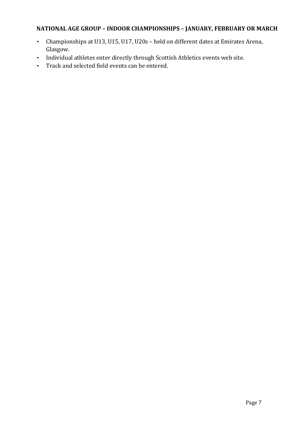### **NATIONAL AGE GROUP – INDOOR CHAMPIONSHIPS – JANUARY, FEBRUARY OR MARCH**

- Championships at U13, U15, U17, U20s held on different dates at Emirates Arena, Glasgow.
- Individual athletes enter directly through Scottish Athletics events web site.
- Track and selected field events can be entered.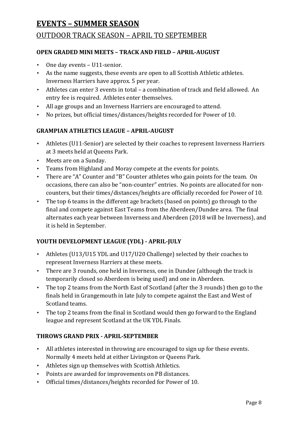## **EVENTS – SUMMER SEASON**

### OUTDOOR TRACK SEASON – APRIL TO SEPTEMBER

#### **OPEN GRADED MINI MEETS – TRACK AND FIELD – APRIL‐AUGUST**

- One day events U11-senior.
- As the name suggests, these events are open to all Scottish Athletic athletes. Inverness Harriers have approx. 5 per year.
- Athletes can enter 3 events in total a combination of track and field allowed. An entry fee is required. Athletes enter themselves.
- All age groups and an Inverness Harriers are encouraged to attend.
- No prizes, but official times/distances/heights recorded for Power of 10.

#### **GRAMPIAN ATHLETICS LEAGUE – APRIL‐AUGUST**

- Athletes (U11-Senior) are selected by their coaches to represent Inverness Harriers at 3 meets held at Queens Park.
- Meets are on a Sunday.
- Teams from Highland and Moray compete at the events for points.
- There are "A" Counter and "B" Counter athletes who gain points for the team. On occasions, there can also be "non-counter" entries. No points are allocated for noncounters, but their times/distances/heights are officially recorded for Power of 10.
- The top 6 teams in the different age brackets (based on points) go through to the final and compete against East Teams from the Aberdeen/Dundee area. The final alternates each year between Inverness and Aberdeen (2018 will be Inverness), and it is held in September.

#### **YOUTH DEVELOPMENT LEAGUE (YDL) ‐ APRIL‐JULY**

- Athletes (U13/U15 YDL and U17/U20 Challenge) selected by their coaches to represent Inverness Harriers at these meets.
- There are 3 rounds, one held in Inverness, one in Dundee (although the track is temporarily closed so Aberdeen is being used) and one in Aberdeen.
- The top 2 teams from the North East of Scotland (after the 3 rounds) then go to the finals held in Grangemouth in late July to compete against the East and West of Scotland teams.
- The top 2 teams from the final in Scotland would then go forward to the England league and represent Scotland at the UK YDL Finals.

#### **THROWS GRAND PRIX ‐ APRIL‐SEPTEMBER**

- All athletes interested in throwing are encouraged to sign up for these events. Normally 4 meets held at either Livingston or Queens Park.
- Athletes sign up themselves with Scottish Athletics.
- Points are awarded for improvements on PB distances.
- Official times/distances/heights recorded for Power of 10.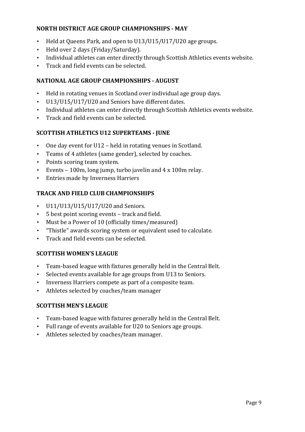#### **NORTH DISTRICT AGE GROUP CHAMPIONSHIPS ‐ MAY**

- Held at Queens Park, and open to U13/U15/U17/U20 age groups.
- Held over 2 days (Friday/Saturday).
- Individual athletes can enter directly through Scottish Athletics events website.
- Track and field events can be selected.

#### **NATIONAL AGE GROUP CHAMPIONSHIPS ‐ AUGUST**

- Held in rotating venues in Scotland over individual age group days.
- U13/U15/U17/U20 and Seniors have different dates.
- Individual athletes can enter directly through Scottish Athletics events website.
- Track and field events can be selected.

#### **SCOTTISH ATHLETICS U12 SUPERTEAMS ‐ JUNE**

- One day event for U12 held in rotating venues in Scotland.
- Teams of 4 athletes (same gender), selected by coaches.
- Points scoring team system.
- Events 100m, long jump, turbo javelin and 4 x 100m relay.
- Entries made by Inverness Harriers

#### **TRACK AND FIELD CLUB CHAMPIONSHIPS**

- U11/U13/U15/U17/U20 and Seniors.
- 5 best point scoring events track and field.
- Must be a Power of 10 (officially times/measured)
- "Thistle" awards scoring system or equivalent used to calculate.
- Track and field events can be selected.

#### **SCOTTISH WOMEN'S LEAGUE**

- Team-based league with fixtures generally held in the Central Belt.
- Selected events available for age groups from U13 to Seniors.
- Inverness Harriers compete as part of a composite team.
- Athletes selected by coaches/team manager

#### **SCOTTISH MEN'S LEAGUE**

- Team-based league with fixtures generally held in the Central Belt.
- Full range of events available for U20 to Seniors age groups.
- Athletes selected by coaches/team manager.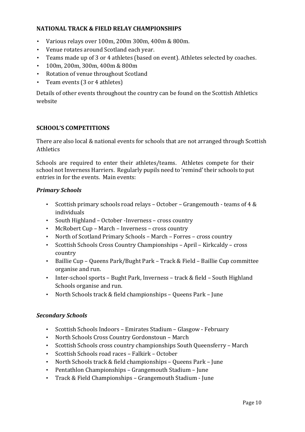#### **NATIONAL TRACK & FIELD RELAY CHAMPIONSHIPS**

- Various relays over 100m, 200m 300m, 400m & 800m.
- Venue rotates around Scotland each year.
- Teams made up of 3 or 4 athletes (based on event). Athletes selected by coaches.
- 100m, 200m, 300m, 400m & 800m
- Rotation of venue throughout Scotland
- Team events (3 or 4 athletes)

Details of other events throughout the country can be found on the Scottish Athletics website

#### **SCHOOL'S COMPETITIONS**

There are also local & national events for schools that are not arranged through Scottish **Athletics** 

Schools are required to enter their athletes/teams. Athletes compete for their school not Inverness Harriers. Regularly pupils need to 'remind' their schools to put entries in for the events. Main events:

#### **Primary Schools**

- Scottish primary schools road relays October Grangemouth teams of 4 & individuals
- South Highland October -Inverness cross country
- McRobert Cup March Inverness cross country
- North of Scotland Primary Schools March Forres cross country
- Scottish Schools Cross Country Championships April Kirkcaldy cross country
- Baillie Cup Queens Park/Bught Park Track & Field Baillie Cup committee organise and run.
- Inter-school sports Bught Park, Inverness track & field South Highland Schools organise and run.
- North Schools track & field championships Queens Park June

#### *Secondary Schools*

- Scottish Schools Indoors Emirates Stadium Glasgow February
- North Schools Cross Country Gordonstoun March
- Scottish Schools cross country championships South Queensferry March
- Scottish Schools road races Falkirk October
- North Schools track & field championships Queens Park June
- Pentathlon Championships Grangemouth Stadium June
- Track & Field Championships Grangemouth Stadium June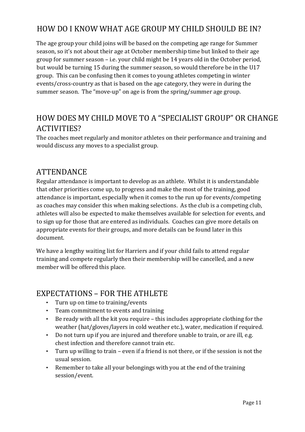# HOW DO I KNOW WHAT AGE GROUP MY CHILD SHOULD BE IN?

The age group your child joins will be based on the competing age range for Summer season, so it's not about their age at October membership time but linked to their age group for summer season – i.e. your child might be 14 years old in the October period, but would be turning 15 during the summer season, so would therefore be in the U17 group. This can be confusing then it comes to young athletes competing in winter events/cross-country as that is based on the age category, they were in during the summer season. The "move-up" on age is from the spring/summer age group.

# HOW DOES MY CHILD MOVE TO A "SPECIALIST GROUP" OR CHANGE ACTIVITIES?

The coaches meet regularly and monitor athletes on their performance and training and would discuss any moves to a specialist group.

## ATTENDANCE

Regular attendance is important to develop as an athlete. Whilst it is understandable that other priorities come up, to progress and make the most of the training, good attendance is important, especially when it comes to the run up for events/competing as coaches may consider this when making selections. As the club is a competing club, athletes will also be expected to make themselves available for selection for events, and to sign up for those that are entered as individuals. Coaches can give more details on appropriate events for their groups, and more details can be found later in this document.

We have a lengthy waiting list for Harriers and if your child fails to attend regular training and compete regularly then their membership will be cancelled, and a new member will be offered this place.

## EXPECTATIONS – FOR THE ATHLETE

- Turn up on time to training/events
- Team commitment to events and training
- Be ready with all the kit you require this includes appropriate clothing for the weather (hat/gloves/layers in cold weather etc.), water, medication if required.
- Do not turn up if you are injured and therefore unable to train, or are ill, e.g. chest infection and therefore cannot train etc.
- Turn up willing to train even if a friend is not there, or if the session is not the usual session.
- Remember to take all your belongings with you at the end of the training session/event.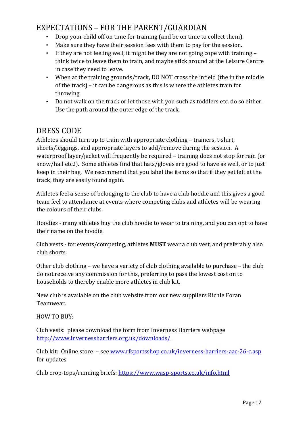# EXPECTATIONS – FOR THE PARENT/GUARDIAN

- Drop your child off on time for training (and be on time to collect them).
- Make sure they have their session fees with them to pay for the session.
- If they are not feeling well, it might be they are not going cope with training think twice to leave them to train, and maybe stick around at the Leisure Centre in case they need to leave.
- When at the training grounds/track, DO NOT cross the infield (the in the middle of the track) – it can be dangerous as this is where the athletes train for throwing.
- Do not walk on the track or let those with you such as toddlers etc. do so either. Use the path around the outer edge of the track.

## DRESS CODE

Athletes should turn up to train with appropriate clothing – trainers, t-shirt, shorts/leggings, and appropriate layers to add/remove during the session. A waterproof layer/jacket will frequently be required – training does not stop for rain (or snow/hail etc.!). Some athletes find that hats/gloves are good to have as well, or to just keep in their bag. We recommend that you label the items so that if they get left at the track, they are easily found again.

Athletes feel a sense of belonging to the club to have a club hoodie and this gives a good team feel to attendance at events where competing clubs and athletes will be wearing the colours of their clubs.

Hoodies - many athletes buy the club hoodie to wear to training, and you can opt to have their name on the hoodie.

Club vests - for events/competing, athletes **MUST** wear a club vest, and preferably also club shorts.

Other club clothing – we have a variety of club clothing available to purchase – the club do not receive any commission for this, preferring to pass the lowest cost on to households to thereby enable more athletes in club kit.

New club is available on the club website from our new suppliers Richie Foran Teamwear.

HOW TO BUY:

Club vests: please download the form from Inverness Harriers webpage http://www.invernessharriers.org.uk/downloads/

Club kit: Online store: – see www.rfsportsshop.co.uk/inverness-harriers-aac-26-c.asp for updates

Club crop-tops/running briefs: https://www.wasp-sports.co.uk/info.html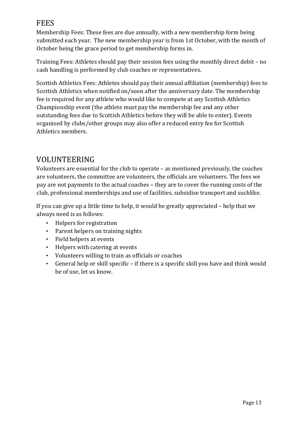## FEES

Membership Fees: These fees are due annually, with a new membership form being submitted each year. The new membership year is from 1st October, with the month of October being the grace period to get membership forms in.

Training Fees: Athletes should pay their session fees using the monthly direct debit – no cash handling is performed by club coaches or representatives.

Scottish Athletics Fees: Athletes should pay their annual affiliation (membership) fees to Scottish Athletics when notified on/soon after the anniversary date. The membership fee is required for any athlete who would like to compete at any Scottish Athletics Championship event (the athlete must pay the membership fee and any other outstanding fees due to Scottish Athletics before they will be able to enter). Events organised by clubs/other groups may also offer a reduced entry fee for Scottish Athletics members.

# VOLUNTEERING

Volunteers are essential for the club to operate – as mentioned previously, the coaches are volunteers, the committee are volunteers, the officials are volunteers. The fees we pay are not payments to the actual coaches – they are to cover the running costs of the club, professional memberships and use of facilities, subsidise transport and suchlike.

If you can give up a little time to help, it would be greatly appreciated – help that we always need is as follows:

- Helpers for registration
- Parent helpers on training nights
- Field helpers at events
- Helpers with catering at events
- Volunteers willing to train as officials or coaches
- General help or skill specific if there is a specific skill you have and think would be of use, let us know.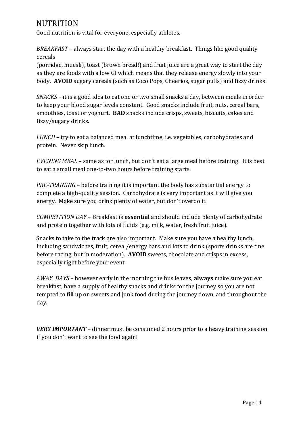## **NUTRITION**

Good nutrition is vital for everyone, especially athletes.

*BREAKFAST* – always start the day with a healthy breakfast. Things like good quality cereals

(porridge, muesli), toast (brown bread!) and fruit juice are a great way to start the day as they are foods with a low GI which means that they release energy slowly into your body. **AVOID** sugary cereals (such as Coco Pops, Cheerios, sugar puffs) and fizzy drinks.

*SNACKS* – it is a good idea to eat one or two small snacks a day, between meals in order to keep your blood sugar levels constant. Good snacks include fruit, nuts, cereal bars, smoothies, toast or yoghurt. **BAD** snacks include crisps, sweets, biscuits, cakes and fizzy/sugary drinks.

*LUNCH* – try to eat a balanced meal at lunchtime, i.e. vegetables, carbohydrates and protein. Never skip lunch.

*EVENING MEAL* – same as for lunch, but don't eat a large meal before training. It is best to eat a small meal one-to-two hours before training starts.

*PRE‐TRAINING* – before training it is important the body has substantial energy to complete a high-quality session. Carbohydrate is very important as it will give you energy. Make sure you drink plenty of water, but don't overdo it.

*COMPETITION DAY* – Breakfast is **essential** and should include plenty of carbohydrate and protein together with lots of fluids (e.g. milk, water, fresh fruit juice).

Snacks to take to the track are also important. Make sure you have a healthy lunch, including sandwiches, fruit, cereal/energy bars and lots to drink (sports drinks are fine before racing, but in moderation). **AVOID** sweets, chocolate and crisps in excess, especially right before your event.

*AWAY DAYS* – however early in the morning the bus leaves, **always** make sure you eat breakfast, have a supply of healthy snacks and drinks for the journey so you are not tempted to fill up on sweets and junk food during the journey down, and throughout the day.

*VERY IMPORTANT* – dinner must be consumed 2 hours prior to a heavy training session if you don't want to see the food again!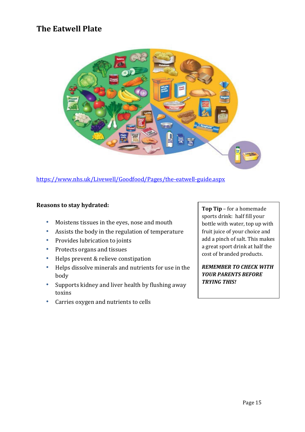## **The Eatwell Plate**



https://www.nhs.uk/Livewell/Goodfood/Pages/the-eatwell-guide.aspx

#### **Reasons to stay hydrated:**

- Moistens tissues in the eyes, nose and mouth
- Assists the body in the regulation of temperature
- Provides lubrication to joints
- Protects organs and tissues
- Helps prevent & relieve constipation
- Helps dissolve minerals and nutrients for use in the body
- Supports kidney and liver health by flushing away toxins
- Carries oxygen and nutrients to cells

**Top Tip** – for a homemade sports drink: half fill your bottle with water, top up with fruit juice of your choice and add a pinch of salt. This makes a great sport drink at half the cost of branded products.

*REMEMBER TO CHECK WITH YOUR PARENTS BEFORE TRYING THIS!*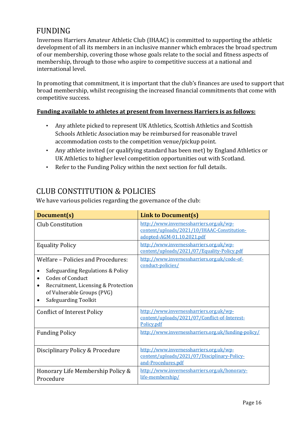# FUNDING

Inverness Harriers Amateur Athletic Club (IHAAC) is committed to supporting the athletic development of all its members in an inclusive manner which embraces the broad spectrum of our membership, covering those whose goals relate to the social and fitness aspects of membership, through to those who aspire to competitive success at a national and international level.

In promoting that commitment, it is important that the club's finances are used to support that broad membership, whilst recognising the increased financial commitments that come with competitive success.

#### **Funding available to athletes at present from Inverness Harriers is as follows:**

- Any athlete picked to represent UK Athletics, Scottish Athletics and Scottish Schools Athletic Association may be reimbursed for reasonable travel accommodation costs to the competition venue/pickup point.
- Any athlete invited (or qualifying standard has been met) by England Athletics or UK Athletics to higher level competition opportunities out with Scotland.
- Refer to the Funding Policy within the next section for full details.

## CLUB CONSTITUTION & POLICIES

We have various policies regarding the governance of the club:

| Document(s)                                                                                                                                                                                                                            | <b>Link to Document(s)</b>                                                                                           |
|----------------------------------------------------------------------------------------------------------------------------------------------------------------------------------------------------------------------------------------|----------------------------------------------------------------------------------------------------------------------|
| Club Constitution                                                                                                                                                                                                                      | http://www.invernessharriers.org.uk/wp-<br>content/uploads/2021/10/IHAAC-Constitution-<br>adopted-AGM-01.10.2021.pdf |
| <b>Equality Policy</b>                                                                                                                                                                                                                 | http://www.invernessharriers.org.uk/wp-<br>content/uploads/2021/07/Equality-Policy.pdf                               |
| Welfare - Policies and Procedures:<br>Safeguarding Regulations & Policy<br><b>Codes of Conduct</b><br>$\bullet$<br>Recruitment, Licensing & Protection<br>$\bullet$<br>of Vulnerable Groups (PVG)<br>Safeguarding Toolkit<br>$\bullet$ | http://www.invernessharriers.org.uk/code-of-<br>conduct-policies/                                                    |
| <b>Conflict of Interest Policy</b>                                                                                                                                                                                                     | http://www.invernessharriers.org.uk/wp-<br>content/uploads/2021/07/Conflict-of-Interest-<br>Policy.pdf               |
| <b>Funding Policy</b>                                                                                                                                                                                                                  | http://www.invernessharriers.org.uk/funding-policy/                                                                  |
| Disciplinary Policy & Procedure                                                                                                                                                                                                        | http://www.invernessharriers.org.uk/wp-<br>content/uploads/2021/07/Disciplinary-Policy-<br>and-Procedures.pdf        |
| Honorary Life Membership Policy &<br>Procedure                                                                                                                                                                                         | http://www.invernessharriers.org.uk/honorary-<br>life-membership/                                                    |